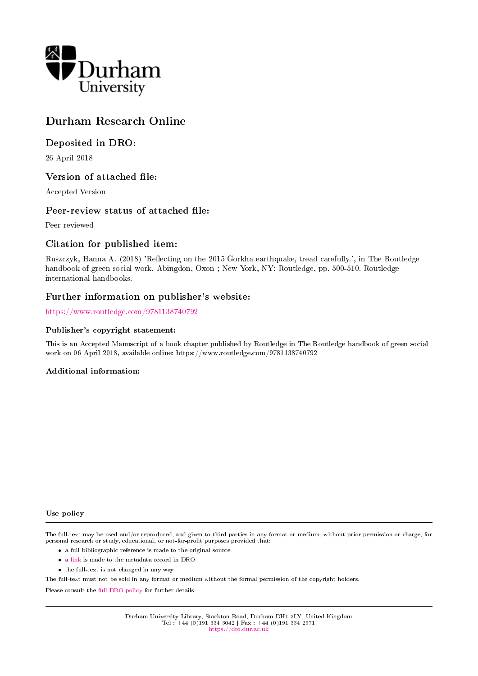

# Durham Research Online

### Deposited in DRO:

26 April 2018

### Version of attached file:

Accepted Version

### Peer-review status of attached file:

Peer-reviewed

### Citation for published item:

Ruszczyk, Hanna A. (2018) 'Reflecting on the 2015 Gorkha earthquake, tread carefully.', in The Routledge handbook of green social work. Abingdon, Oxon ; New York, NY: Routledge, pp. 500-510. Routledge international handbooks.

### Further information on publisher's website:

<https://www.routledge.com/9781138740792>

### Publisher's copyright statement:

This is an Accepted Manuscript of a book chapter published by Routledge in The Routledge handbook of green social work on 06 April 2018, available online: https://www.routledge.com/9781138740792

### Additional information:

### Use policy

The full-text may be used and/or reproduced, and given to third parties in any format or medium, without prior permission or charge, for personal research or study, educational, or not-for-profit purposes provided that:

- a full bibliographic reference is made to the original source
- a [link](http://dro.dur.ac.uk/24663/) is made to the metadata record in DRO
- the full-text is not changed in any way

The full-text must not be sold in any format or medium without the formal permission of the copyright holders.

Please consult the [full DRO policy](https://dro.dur.ac.uk/policies/usepolicy.pdf) for further details.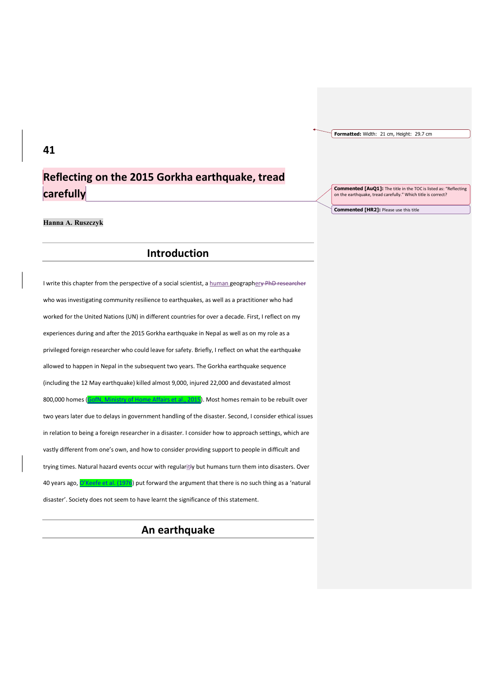**Formatted:** Width: 21 cm, Height: 29.7 cm

# Reflecting on the 2015 Gorkha earthquake, tread carefully

### Hanna A. Ruszczyk

### Introduction

I write this chapter from the perspective of a social scientist, a human geographery PhD researcher who was investigating community resilience to earthquakes, as well as a practitioner who had worked for the United Nations (UN) in different countries for over a decade. First, I reflect on my experiences during and after the 2015 Gorkha earthquake in Nepal as well as on my role as a privileged foreign researcher who could leave for safety. Briefly, I reflect on what the earthquake allowed to happen in Nepal in the subsequent two years. The Gorkha earthquake sequence (including the 12 May earthquake) killed almost 9,000, injured 22,000 and devastated almost 800,000 homes (GofN, Ministry of Home Affairs et al., 2015). Most homes remain to be rebuilt over two years later due to delays in government handling of the disaster. Second, I consider ethical issues in relation to being a foreign researcher in a disaster. I consider how to approach settings, which are vastly different from one's own, and how to consider providing support to people in difficult and trying times. Natural hazard events occur with regularitly but humans turn them into disasters. Over 40 years ago, O'Keefe et al. (1976) put forward the argument that there is no such thing as a 'natural disaster'. Society does not seem to have learnt the significance of this statement.

## An earthquake

Commented [AuQ1]: The title in the TOC is listed as: "Reflecting on the earthquake, tread carefully." Which title is correct?

Commented [HR2]: Please use this title

# 41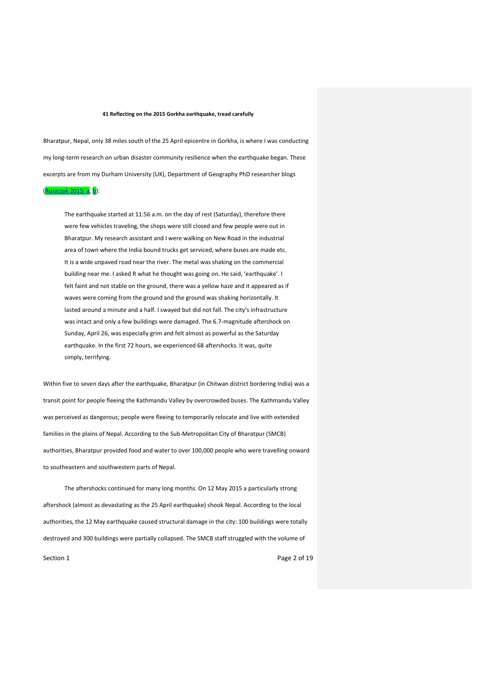Bharatpur, Nepal, only 38 miles south of the 25 April epicentre in Gorkha, is where I was conducting my long-term research on urban disaster community resilience when the earthquake began. These excerpts are from my Durham University (UK), Department of Geography PhD researcher blogs

(Ruszczyk 2015: a, b):

The earthquake started at 11:56 a.m. on the day of rest (Saturday), therefore there were few vehicles traveling, the shops were still closed and few people were out in Bharatpur. My research assistant and I were walking on New Road in the industrial area of town where the India bound trucks get serviced, where buses are made etc. It is a wide unpaved road near the river. The metal was shaking on the commercial building near me. I asked R what he thought was going on. He said, 'earthquake'. I felt faint and not stable on the ground, there was a yellow haze and it appeared as if waves were coming from the ground and the ground was shaking horizontally. It lasted around a minute and a half. I swayed but did not fall. The city's infrastructure was intact and only a few buildings were damaged. The 6.7-magnitude aftershock on Sunday, April 26, was especially grim and felt almost as powerful as the Saturday earthquake. In the first 72 hours, we experienced 68 aftershocks. It was, quite simply, terrifying.

Within five to seven days after the earthquake, Bharatpur (in Chitwan district bordering India) was a transit point for people fleeing the Kathmandu Valley by overcrowded buses. The Kathmandu Valley was perceived as dangerous; people were fleeing to temporarily relocate and live with extended families in the plains of Nepal. According to the Sub-Metropolitan City of Bharatpur (SMCB) authorities, Bharatpur provided food and water to over 100,000 people who were travelling onward to southeastern and southwestern parts of Nepal.

Section 1 Page 2 of 19 The aftershocks continued for many long months. On 12 May 2015 a particularly strong aftershock (almost as devastating as the 25 April earthquake) shook Nepal. According to the local authorities, the 12 May earthquake caused structural damage in the city: 100 buildings were totally destroyed and 300 buildings were partially collapsed. The SMCB staff struggled with the volume of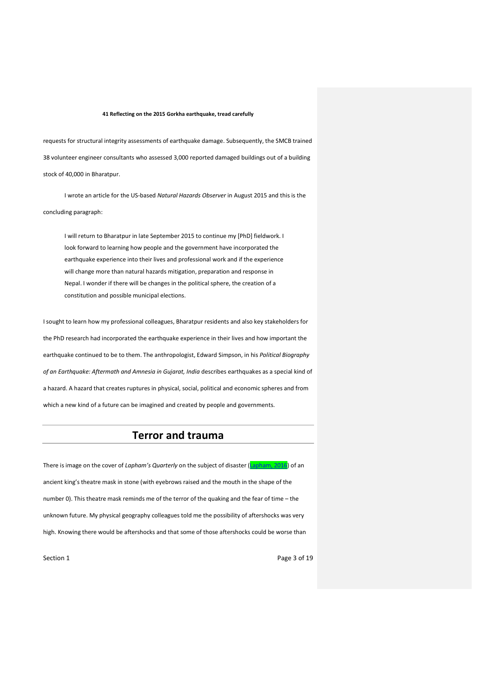requests for structural integrity assessments of earthquake damage. Subsequently, the SMCB trained 38 volunteer engineer consultants who assessed 3,000 reported damaged buildings out of a building stock of 40,000 in Bharatpur.

I wrote an article for the US-based Natural Hazards Observer in August 2015 and this is the concluding paragraph:

I will return to Bharatpur in late September 2015 to continue my [PhD] fieldwork. I look forward to learning how people and the government have incorporated the earthquake experience into their lives and professional work and if the experience will change more than natural hazards mitigation, preparation and response in Nepal. I wonder if there will be changes in the political sphere, the creation of a constitution and possible municipal elections.

I sought to learn how my professional colleagues, Bharatpur residents and also key stakeholders for the PhD research had incorporated the earthquake experience in their lives and how important the earthquake continued to be to them. The anthropologist, Edward Simpson, in his Political Biography of an Earthquake: Aftermath and Amnesia in Gujarat, India describes earthquakes as a special kind of a hazard. A hazard that creates ruptures in physical, social, political and economic spheres and from which a new kind of a future can be imagined and created by people and governments.

## Terror and trauma

There is image on the cover of Lapham's Quarterly on the subject of disaster (Lapham, 2016) of an ancient king's theatre mask in stone (with eyebrows raised and the mouth in the shape of the number 0). This theatre mask reminds me of the terror of the quaking and the fear of time – the unknown future. My physical geography colleagues told me the possibility of aftershocks was very high. Knowing there would be aftershocks and that some of those aftershocks could be worse than

Section 1 Page 3 of 19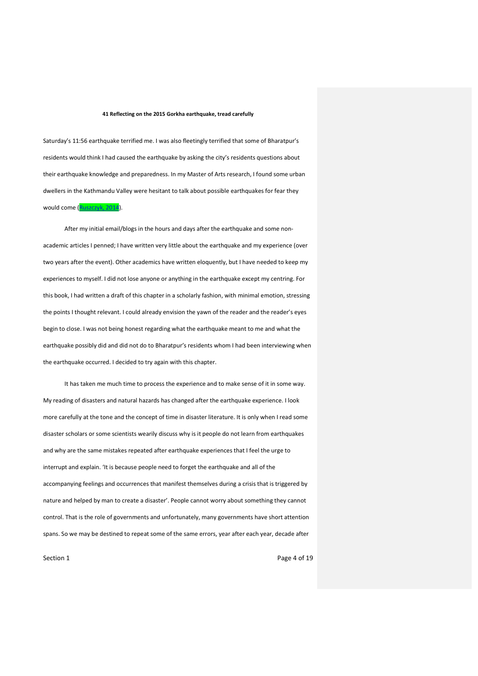Saturday's 11:56 earthquake terrified me. I was also fleetingly terrified that some of Bharatpur's residents would think I had caused the earthquake by asking the city's residents questions about their earthquake knowledge and preparedness. In my Master of Arts research, I found some urban dwellers in the Kathmandu Valley were hesitant to talk about possible earthquakes for fear they would come (Ruszczyk, 2014).

After my initial email/blogs in the hours and days after the earthquake and some nonacademic articles I penned; I have written very little about the earthquake and my experience (over two years after the event). Other academics have written eloquently, but I have needed to keep my experiences to myself. I did not lose anyone or anything in the earthquake except my centring. For this book, I had written a draft of this chapter in a scholarly fashion, with minimal emotion, stressing the points I thought relevant. I could already envision the yawn of the reader and the reader's eyes begin to close. I was not being honest regarding what the earthquake meant to me and what the earthquake possibly did and did not do to Bharatpur's residents whom I had been interviewing when the earthquake occurred. I decided to try again with this chapter.

It has taken me much time to process the experience and to make sense of it in some way. My reading of disasters and natural hazards has changed after the earthquake experience. I look more carefully at the tone and the concept of time in disaster literature. It is only when I read some disaster scholars or some scientists wearily discuss why is it people do not learn from earthquakes and why are the same mistakes repeated after earthquake experiences that I feel the urge to interrupt and explain. 'It is because people need to forget the earthquake and all of the accompanying feelings and occurrences that manifest themselves during a crisis that is triggered by nature and helped by man to create a disaster'. People cannot worry about something they cannot control. That is the role of governments and unfortunately, many governments have short attention spans. So we may be destined to repeat some of the same errors, year after each year, decade after

Section 1 Page 4 of 19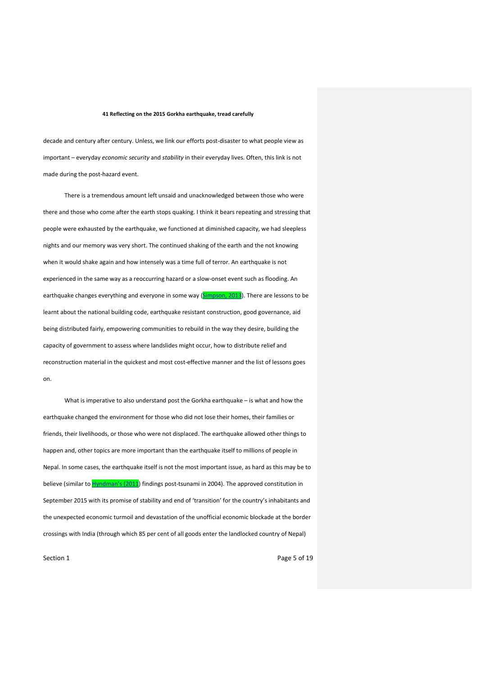decade and century after century. Unless, we link our efforts post-disaster to what people view as important – everyday economic security and stability in their everyday lives. Often, this link is not made during the post-hazard event.

There is a tremendous amount left unsaid and unacknowledged between those who were there and those who come after the earth stops quaking. I think it bears repeating and stressing that people were exhausted by the earthquake, we functioned at diminished capacity, we had sleepless nights and our memory was very short. The continued shaking of the earth and the not knowing when it would shake again and how intensely was a time full of terror. An earthquake is not experienced in the same way as a reoccurring hazard or a slow-onset event such as flooding. An earthquake changes everything and everyone in some way (Simpson, 2013). There are lessons to be learnt about the national building code, earthquake resistant construction, good governance, aid being distributed fairly, empowering communities to rebuild in the way they desire, building the capacity of government to assess where landslides might occur, how to distribute relief and reconstruction material in the quickest and most cost-effective manner and the list of lessons goes on.

What is imperative to also understand post the Gorkha earthquake – is what and how the earthquake changed the environment for those who did not lose their homes, their families or friends, their livelihoods, or those who were not displaced. The earthquake allowed other things to happen and, other topics are more important than the earthquake itself to millions of people in Nepal. In some cases, the earthquake itself is not the most important issue, as hard as this may be to believe (similar to **Hyndman's (2011**) findings post-tsunami in 2004). The approved constitution in September 2015 with its promise of stability and end of 'transition' for the country's inhabitants and the unexpected economic turmoil and devastation of the unofficial economic blockade at the border crossings with India (through which 85 per cent of all goods enter the landlocked country of Nepal)

Section 1 Page 5 of 19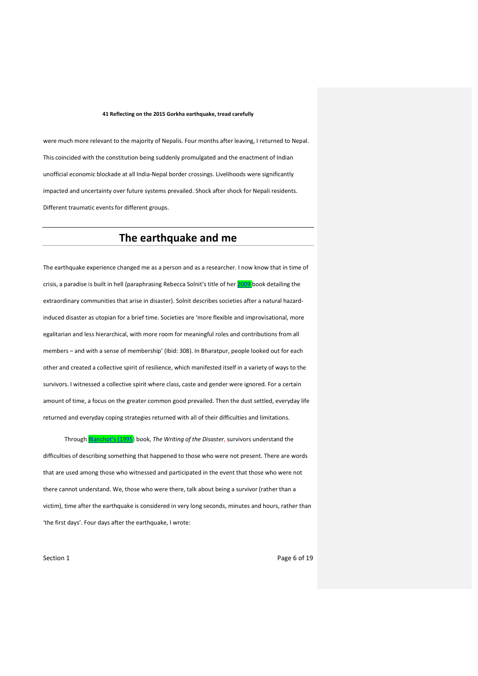were much more relevant to the majority of Nepalis. Four months after leaving, I returned to Nepal. This coincided with the constitution being suddenly promulgated and the enactment of Indian unofficial economic blockade at all India-Nepal border crossings. Livelihoods were significantly impacted and uncertainty over future systems prevailed. Shock after shock for Nepali residents. Different traumatic events for different groups.

### The earthquake and me

The earthquake experience changed me as a person and as a researcher. I now know that in time of crisis, a paradise is built in hell (paraphrasing Rebecca Solnit's title of her 2009 book detailing the extraordinary communities that arise in disaster). Solnit describes societies after a natural hazardinduced disaster as utopian for a brief time. Societies are 'more flexible and improvisational, more egalitarian and less hierarchical, with more room for meaningful roles and contributions from all members – and with a sense of membership' (Ibid: 308). In Bharatpur, people looked out for each other and created a collective spirit of resilience, which manifested itself in a variety of ways to the survivors. I witnessed a collective spirit where class, caste and gender were ignored. For a certain amount of time, a focus on the greater common good prevailed. Then the dust settled, everyday life returned and everyday coping strategies returned with all of their difficulties and limitations.

Through Blanchot's (1995) book, The Writing of the Disaster, survivors understand the difficulties of describing something that happened to those who were not present. There are words that are used among those who witnessed and participated in the event that those who were not there cannot understand. We, those who were there, talk about being a survivor (rather than a victim), time after the earthquake is considered in very long seconds, minutes and hours, rather than 'the first days'. Four days after the earthquake, I wrote:

Section 1 Page 6 of 19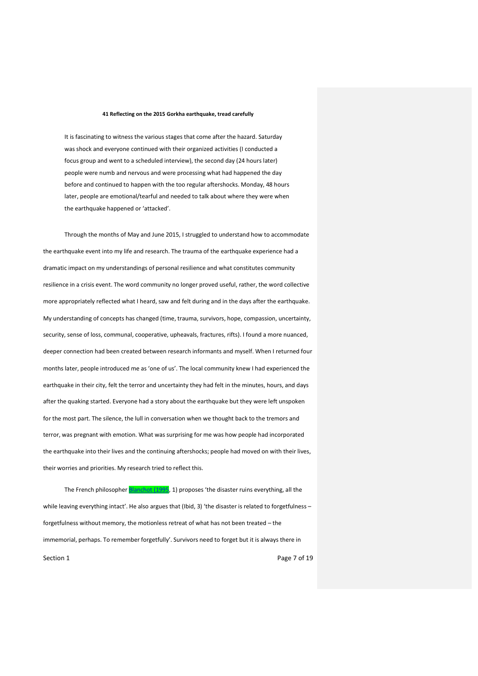It is fascinating to witness the various stages that come after the hazard. Saturday was shock and everyone continued with their organized activities (I conducted a focus group and went to a scheduled interview), the second day (24 hours later) people were numb and nervous and were processing what had happened the day before and continued to happen with the too regular aftershocks. Monday, 48 hours later, people are emotional/tearful and needed to talk about where they were when the earthquake happened or 'attacked'.

Through the months of May and June 2015, I struggled to understand how to accommodate the earthquake event into my life and research. The trauma of the earthquake experience had a dramatic impact on my understandings of personal resilience and what constitutes community resilience in a crisis event. The word community no longer proved useful, rather, the word collective more appropriately reflected what I heard, saw and felt during and in the days after the earthquake. My understanding of concepts has changed (time, trauma, survivors, hope, compassion, uncertainty, security, sense of loss, communal, cooperative, upheavals, fractures, rifts). I found a more nuanced, deeper connection had been created between research informants and myself. When I returned four months later, people introduced me as 'one of us'. The local community knew I had experienced the earthquake in their city, felt the terror and uncertainty they had felt in the minutes, hours, and days after the quaking started. Everyone had a story about the earthquake but they were left unspoken for the most part. The silence, the lull in conversation when we thought back to the tremors and terror, was pregnant with emotion. What was surprising for me was how people had incorporated the earthquake into their lives and the continuing aftershocks; people had moved on with their lives, their worries and priorities. My research tried to reflect this.

Section 1 Page 7 of 19 The French philosopher **Blanchot (1995**, 1) proposes 'the disaster ruins everything, all the while leaving everything intact'. He also argues that (Ibid, 3) 'the disaster is related to forgetfulness forgetfulness without memory, the motionless retreat of what has not been treated – the immemorial, perhaps. To remember forgetfully'. Survivors need to forget but it is always there in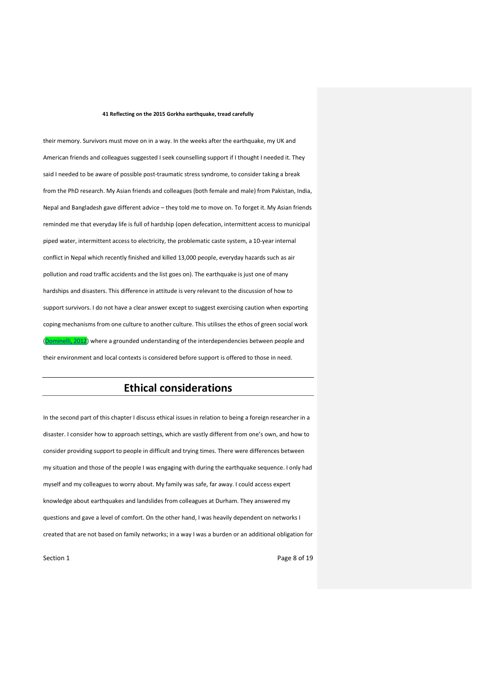their memory. Survivors must move on in a way. In the weeks after the earthquake, my UK and American friends and colleagues suggested I seek counselling support if I thought I needed it. They said I needed to be aware of possible post-traumatic stress syndrome, to consider taking a break from the PhD research. My Asian friends and colleagues (both female and male) from Pakistan, India, Nepal and Bangladesh gave different advice – they told me to move on. To forget it. My Asian friends reminded me that everyday life is full of hardship (open defecation, intermittent access to municipal piped water, intermittent access to electricity, the problematic caste system, a 10-year internal conflict in Nepal which recently finished and killed 13,000 people, everyday hazards such as air pollution and road traffic accidents and the list goes on). The earthquake is just one of many hardships and disasters. This difference in attitude is very relevant to the discussion of how to support survivors. I do not have a clear answer except to suggest exercising caution when exporting coping mechanisms from one culture to another culture. This utilises the ethos of green social work (Dominelli, 2012) where a grounded understanding of the interdependencies between people and their environment and local contexts is considered before support is offered to those in need.

## Ethical considerations

In the second part of this chapter I discuss ethical issues in relation to being a foreign researcher in a disaster. I consider how to approach settings, which are vastly different from one's own, and how to consider providing support to people in difficult and trying times. There were differences between my situation and those of the people I was engaging with during the earthquake sequence. I only had myself and my colleagues to worry about. My family was safe, far away. I could access expert knowledge about earthquakes and landslides from colleagues at Durham. They answered my questions and gave a level of comfort. On the other hand, I was heavily dependent on networks I created that are not based on family networks; in a way I was a burden or an additional obligation for

Section 1 Page 8 of 19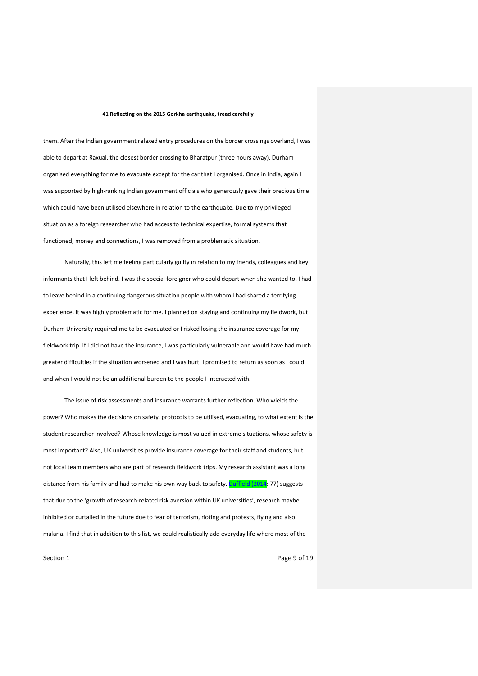them. After the Indian government relaxed entry procedures on the border crossings overland, I was able to depart at Raxual, the closest border crossing to Bharatpur (three hours away). Durham organised everything for me to evacuate except for the car that I organised. Once in India, again I was supported by high-ranking Indian government officials who generously gave their precious time which could have been utilised elsewhere in relation to the earthquake. Due to my privileged situation as a foreign researcher who had access to technical expertise, formal systems that functioned, money and connections, I was removed from a problematic situation.

Naturally, this left me feeling particularly guilty in relation to my friends, colleagues and key informants that I left behind. I was the special foreigner who could depart when she wanted to. I had to leave behind in a continuing dangerous situation people with whom I had shared a terrifying experience. It was highly problematic for me. I planned on staying and continuing my fieldwork, but Durham University required me to be evacuated or I risked losing the insurance coverage for my fieldwork trip. If I did not have the insurance, I was particularly vulnerable and would have had much greater difficulties if the situation worsened and I was hurt. I promised to return as soon as I could and when I would not be an additional burden to the people I interacted with.

The issue of risk assessments and insurance warrants further reflection. Who wields the power? Who makes the decisions on safety, protocols to be utilised, evacuating, to what extent is the student researcher involved? Whose knowledge is most valued in extreme situations, whose safety is most important? Also, UK universities provide insurance coverage for their staff and students, but not local team members who are part of research fieldwork trips. My research assistant was a long distance from his family and had to make his own way back to safety. Duffield (2014: 77) suggests that due to the 'growth of research-related risk aversion within UK universities', research maybe inhibited or curtailed in the future due to fear of terrorism, rioting and protests, flying and also malaria. I find that in addition to this list, we could realistically add everyday life where most of the

Section 1 Page 9 of 19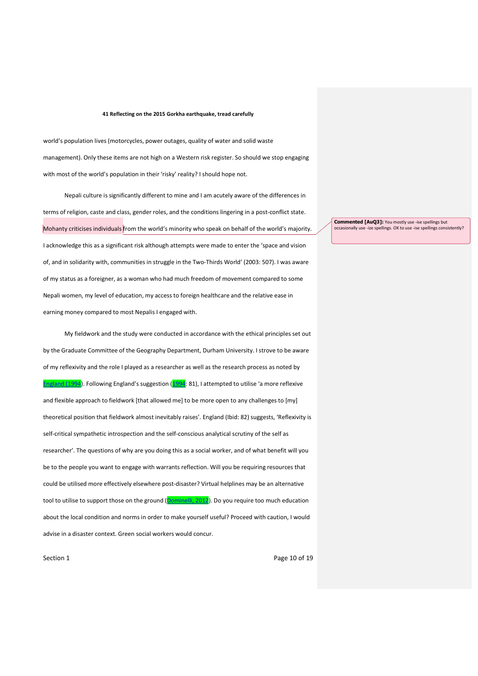world's population lives (motorcycles, power outages, quality of water and solid waste management). Only these items are not high on a Western risk register. So should we stop engaging with most of the world's population in their 'risky' reality? I should hope not.

Nepali culture is significantly different to mine and I am acutely aware of the differences in terms of religion, caste and class, gender roles, and the conditions lingering in a post-conflict state. Mohanty criticises individuals from the world's minority who speak on behalf of the world's majority. I acknowledge this as a significant risk although attempts were made to enter the 'space and vision of, and in solidarity with, communities in struggle in the Two-Thirds World' (2003: 507). I was aware of my status as a foreigner, as a woman who had much freedom of movement compared to some Nepali women, my level of education, my access to foreign healthcare and the relative ease in earning money compared to most Nepalis I engaged with.

My fieldwork and the study were conducted in accordance with the ethical principles set out by the Graduate Committee of the Geography Department, Durham University. I strove to be aware of my reflexivity and the role I played as a researcher as well as the research process as noted by England (1994). Following England's suggestion (1994: 81), I attempted to utilise 'a more reflexive and flexible approach to fieldwork [that allowed me] to be more open to any challenges to [my] theoretical position that fieldwork almost inevitably raises'. England (Ibid: 82) suggests, 'Reflexivity is self-critical sympathetic introspection and the self-conscious analytical scrutiny of the self as researcher'. The questions of why are you doing this as a social worker, and of what benefit will you be to the people you want to engage with warrants reflection. Will you be requiring resources that could be utilised more effectively elsewhere post-disaster? Virtual helplines may be an alternative tool to utilise to support those on the ground (Dominelli, 2012). Do you require too much education about the local condition and norms in order to make yourself useful? Proceed with caution, I would advise in a disaster context. Green social workers would concur.

Section 1 Page 10 of 19

**Commented [AuQ3]:** You mostly use -ise spellings but<br>occasionally use -ize spellings. OK to use -ise spellings consistently?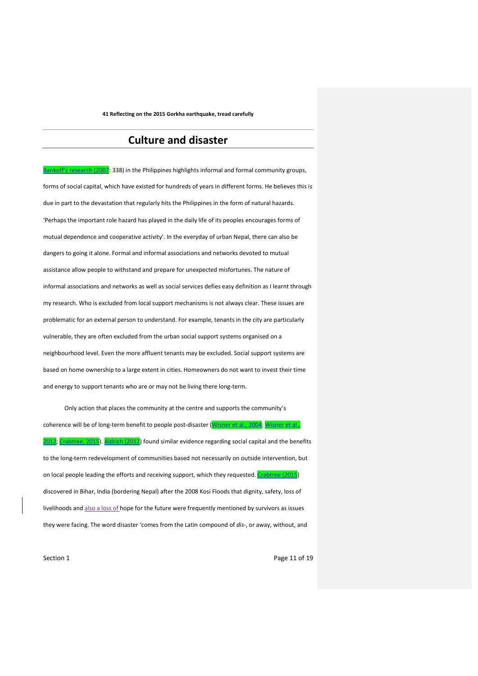# Culture and disaster

ankoff's research (2007: 338) in the Philippines highlights informal and formal community groups, forms of social capital, which have existed for hundreds of years in different forms. He believes this is due in part to the devastation that regularly hits the Philippines in the form of natural hazards. 'Perhaps the important role hazard has played in the daily life of its peoples encourages forms of mutual dependence and cooperative activity'. In the everyday of urban Nepal, there can also be dangers to going it alone. Formal and informal associations and networks devoted to mutual assistance allow people to withstand and prepare for unexpected misfortunes. The nature of informal associations and networks as well as social services defies easy definition as I learnt through my research. Who is excluded from local support mechanisms is not always clear. These issues are problematic for an external person to understand. For example, tenants in the city are particularly vulnerable, they are often excluded from the urban social support systems organised on a neighbourhood level. Even the more affluent tenants may be excluded. Social support systems are based on home ownership to a large extent in cities. Homeowners do not want to invest their time and energy to support tenants who are or may not be living there long-term.

Only action that places the community at the centre and supports the community's coherence will be of long-term benefit to people post-disaster (Wisner et al., 2004; Wisner et al., rabtree, 2015). Aldrich (2012) found similar evidence regarding social capital and the benefits to the long-term redevelopment of communities based not necessarily on outside intervention, but on local people leading the efforts and receiving support, which they requested. Crabtree (2015) discovered in Bihar, India (bordering Nepal) after the 2008 Kosi Floods that dignity, safety, loss of livelihoods and also a loss of hope for the future were frequently mentioned by survivors as issues they were facing. The word disaster 'comes from the Latin compound of dis-, or away, without, and

Section 1 Page 11 of 19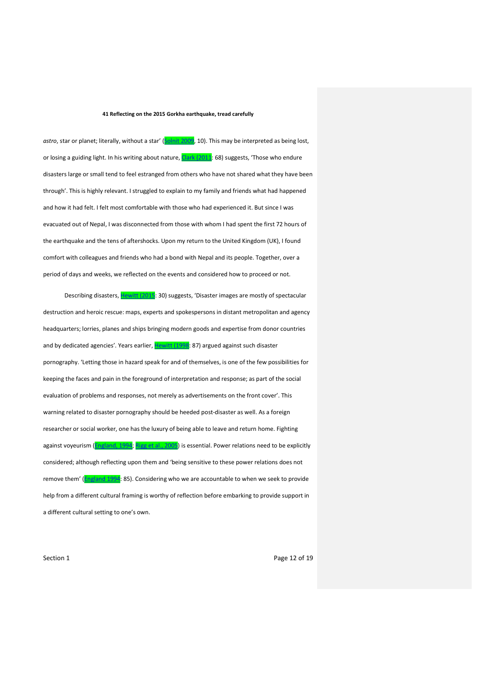astro, star or planet; literally, without a star' (Solnit 2009, 10). This may be interpreted as being lost, or losing a guiding light. In his writing about nature, Clark (2011: 68) suggests, 'Those who endure disasters large or small tend to feel estranged from others who have not shared what they have been through'. This is highly relevant. I struggled to explain to my family and friends what had happened and how it had felt. I felt most comfortable with those who had experienced it. But since I was evacuated out of Nepal, I was disconnected from those with whom I had spent the first 72 hours of the earthquake and the tens of aftershocks. Upon my return to the United Kingdom (UK), I found comfort with colleagues and friends who had a bond with Nepal and its people. Together, over a period of days and weeks, we reflected on the events and considered how to proceed or not.

Describing disasters, Hewitt (2015: 30) suggests, 'Disaster images are mostly of spectacular destruction and heroic rescue: maps, experts and spokespersons in distant metropolitan and agency headquarters; lorries, planes and ships bringing modern goods and expertise from donor countries and by dedicated agencies'. Years earlier, Hewitt (1998: 87) argued against such disaster pornography. 'Letting those in hazard speak for and of themselves, is one of the few possibilities for keeping the faces and pain in the foreground of interpretation and response; as part of the social evaluation of problems and responses, not merely as advertisements on the front cover'. This warning related to disaster pornography should be heeded post-disaster as well. As a foreign researcher or social worker, one has the luxury of being able to leave and return home. Fighting against voyeurism (England, 1994; Rigg et al., 2005) is essential. Power relations need to be explicitly considered; although reflecting upon them and 'being sensitive to these power relations does not remove them' (England 1994: 85). Considering who we are accountable to when we seek to provide help from a different cultural framing is worthy of reflection before embarking to provide support in a different cultural setting to one's own.

Section 1 Page 12 of 19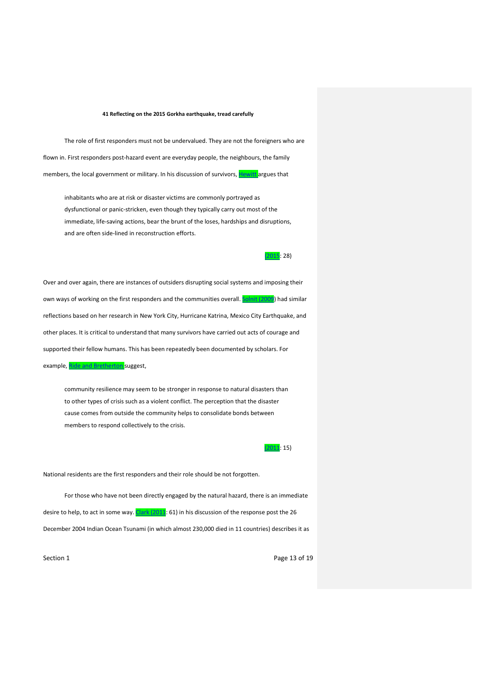The role of first responders must not be undervalued. They are not the foreigners who are flown in. First responders post-hazard event are everyday people, the neighbours, the family members, the local government or military. In his discussion of survivors, **Hewitt** argues that

inhabitants who are at risk or disaster victims are commonly portrayed as dysfunctional or panic-stricken, even though they typically carry out most of the immediate, life-saving actions, bear the brunt of the loses, hardships and disruptions, and are often side-lined in reconstruction efforts.

Over and over again, there are instances of outsiders disrupting social systems and imposing their own ways of working on the first responders and the communities overall. Solnit (2009) had similar reflections based on her research in New York City, Hurricane Katrina, Mexico City Earthquake, and other places. It is critical to understand that many survivors have carried out acts of courage and supported their fellow humans. This has been repeatedly been documented by scholars. For example, Ride and Bretherton suggest,

community resilience may seem to be stronger in response to natural disasters than to other types of crisis such as a violent conflict. The perception that the disaster cause comes from outside the community helps to consolidate bonds between members to respond collectively to the crisis.



<mark>(15</mark>: 28

National residents are the first responders and their role should be not forgotten.

For those who have not been directly engaged by the natural hazard, there is an immediate desire to help, to act in some way. Clark (2011: 61) in his discussion of the response post the 26 December 2004 Indian Ocean Tsunami (in which almost 230,000 died in 11 countries) describes it as

Section 1 Page 13 of 19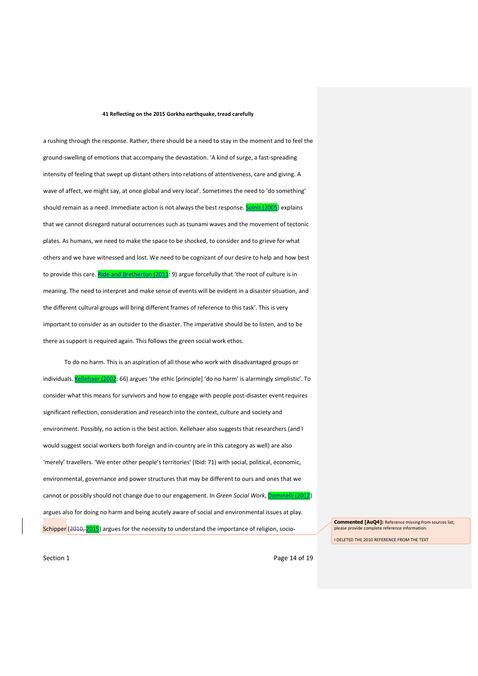a rushing through the response. Rather, there should be a need to stay in the moment and to feel the ground-swelling of emotions that accompany the devastation. 'A kind of surge, a fast-spreading intensity of feeling that swept up distant others into relations of attentiveness, care and giving. A wave of affect, we might say, at once global and very local'. Sometimes the need to 'do something' should remain as a need. Immediate action is not always the best response. Solnit (2005) explains that we cannot disregard natural occurrences such as tsunami waves and the movement of tectonic plates. As humans, we need to make the space to be shocked, to consider and to grieve for what others and we have witnessed and lost. We need to be cognizant of our desire to help and how best to provide this care. Ride and Bretherton (2011: 9) argue forcefully that 'the root of culture is in meaning. The need to interpret and make sense of events will be evident in a disaster situation, and the different cultural groups will bring different frames of reference to this task'. This is very important to consider as an outsider to the disaster. The imperative should be to listen, and to be there as support is required again. This follows the green social work ethos.

To do no harm. This is an aspiration of all those who work with disadvantaged groups or individuals. Kellehaer (2002: 66) argues 'the ethic [principle] 'do no harm' is alarmingly simplistic'. To consider what this means for survivors and how to engage with people post-disaster event requires significant reflection, consideration and research into the context, culture and society and environment. Possibly, no action is the best action. Kellehaer also suggests that researchers (and I would suggest social workers both foreign and in-country are in this category as well) are also 'merely' travellers. 'We enter other people's territories' (Ibid: 71) with social, political, economic, environmental, governance and power structures that may be different to ours and ones that we cannot or possibly should not change due to our engagement. In Green Social Work, Domin argues also for doing no harm and being acutely aware of social and environmental issues at play. Schipper (2010, 2015) argues for the necessity to understand the importance of religion, socio-

Commented [AuQ4]: Reference missing from sources list; please provide complete reference information.

I DELETED THE 2010 REFERENCE FROM THE TEXT

Section 1 Page 14 of 19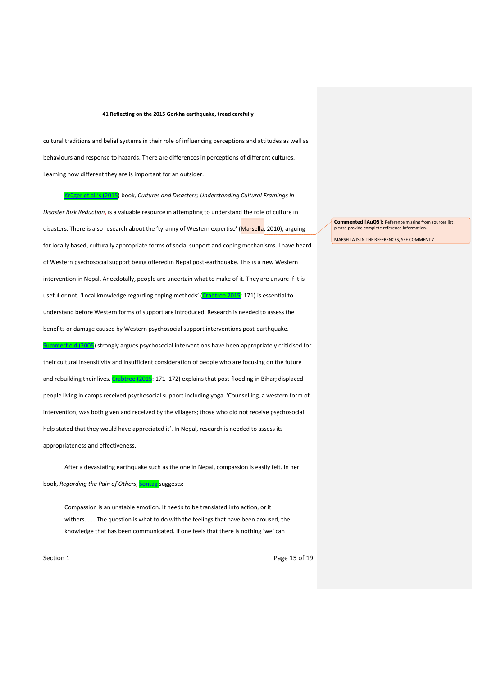cultural traditions and belief systems in their role of influencing perceptions and attitudes as well as behaviours and response to hazards. There are differences in perceptions of different cultures. Learning how different they are is important for an outsider.

Krüger et al.'s (2015) book, Cultures and Disasters; Understanding Cultural Framings in Disaster Risk Reduction, is a valuable resource in attempting to understand the role of culture in disasters. There is also research about the 'tyranny of Western expertise' (Marsella, 2010), arguing for locally based, culturally appropriate forms of social support and coping mechanisms. I have heard of Western psychosocial support being offered in Nepal post-earthquake. This is a new Western intervention in Nepal. Anecdotally, people are uncertain what to make of it. They are unsure if it is useful or not. 'Local knowledge regarding coping methods' (Crabtree 2015: 171) is essential to understand before Western forms of support are introduced. Research is needed to assess the benefits or damage caused by Western psychosocial support interventions post-earthquake.

ld (2005) strongly argues psychosocial interventions have been appropriately criticised for their cultural insensitivity and insufficient consideration of people who are focusing on the future and rebuilding their lives. Crabtree (2015: 171-172) explains that post-flooding in Bihar; displaced people living in camps received psychosocial support including yoga. 'Counselling, a western form of intervention, was both given and received by the villagers; those who did not receive psychosocial help stated that they would have appreciated it'. In Nepal, research is needed to assess its appropriateness and effectiveness.

After a devastating earthquake such as the one in Nepal, compassion is easily felt. In her book, Regarding the Pain of Others, **Sontag** suggests:

Compassion is an unstable emotion. It needs to be translated into action, or it withers. . . . The question is what to do with the feelings that have been aroused, the knowledge that has been communicated. If one feels that there is nothing 'we' can

Section 1 Page 15 of 19

Commented [AuQ5]: Reference missing from sources list; please provide complete reference information.

MARSELLA IS IN THE REFERENCES, SEE COMMENT 7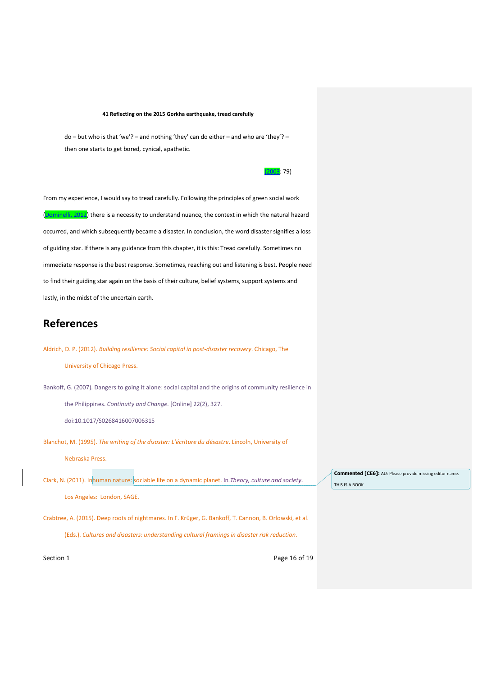do – but who is that 'we'? – and nothing 'they' can do either – and who are 'they'? – then one starts to get bored, cynical, apathetic.

From my experience, I would say to tread carefully. Following the principles of green social work (Dominelli, 2012) there is a necessity to understand nuance, the context in which the natural hazard occurred, and which subsequently became a disaster. In conclusion, the word disaster signifies a loss of guiding star. If there is any guidance from this chapter, it is this: Tread carefully. Sometimes no immediate response is the best response. Sometimes, reaching out and listening is best. People need to find their guiding star again on the basis of their culture, belief systems, support systems and lastly, in the midst of the uncertain earth.

# References

Aldrich, D. P. (2012). Building resilience: Social capital in post-disaster recovery. Chicago, The University of Chicago Press.

Bankoff, G. (2007). Dangers to going it alone: social capital and the origins of community resilience in the Philippines. Continuity and Change. [Online] 22(2), 327.

doi:10.1017/S0268416007006315

Blanchot, M. (1995). The writing of the disaster: L'écriture du désastre. Lincoln, University of Nebraska Press.

Clark, N. (2011). Inhuman nature: sociable life on a dynamic planet. In Theory, culture and society. Los Angeles:  London, SAGE.

Crabtree, A. (2015). Deep roots of nightmares. In F. Krüger, G. Bankoff, T. Cannon, B. Orlowski, et al. (Eds.). Cultures and disasters: understanding cultural framings in disaster risk reduction.

Section 1 Page 16 of 19

Commented [CE6]: AU: Please provide missing editor name. THIS IS A BOOK

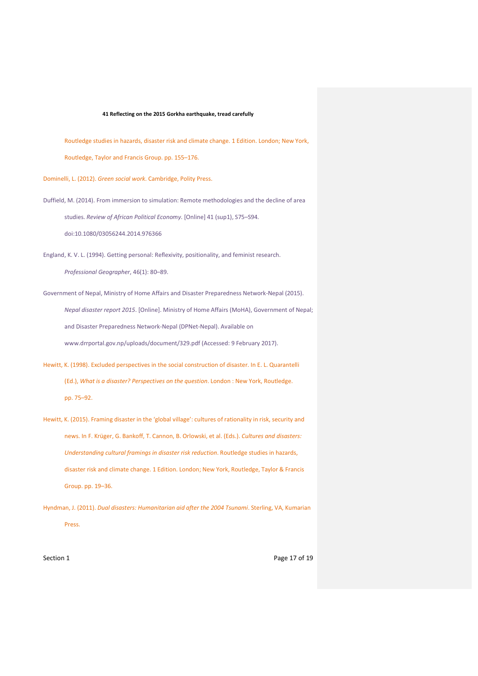Routledge studies in hazards, disaster risk and climate change. 1 Edition. London; New York, Routledge, Taylor and Francis Group. pp. 155–176.

Dominelli, L. (2012). Green social work. Cambridge, Polity Press.

Duffield, M. (2014). From immersion to simulation: Remote methodologies and the decline of area studies. Review of African Political Economy. [Online] 41 (sup1), S75–S94. doi:10.1080/03056244.2014.976366

England, K. V. L. (1994). Getting personal: Reflexivity, positionality, and feminist research. Professional Geographer, 46(1): 80–89.

Government of Nepal, Ministry of Home Affairs and Disaster Preparedness Network-Nepal (2015). Nepal disaster report 2015. [Online]. Ministry of Home Affairs (MoHA), Government of Nepal; and Disaster Preparedness Network-Nepal (DPNet-Nepal). Available on www.drrportal.gov.np/uploads/document/329.pdf (Accessed: 9 February 2017).

- Hewitt, K. (1998). Excluded perspectives in the social construction of disaster. In E. L. Quarantelli (Ed.), What is a disaster? Perspectives on the question. London : New York, Routledge. pp. 75–92.
- Hewitt, K. (2015). Framing disaster in the 'global village': cultures of rationality in risk, security and news. In F. Krüger, G. Bankoff, T. Cannon, B. Orlowski, et al. (Eds.). Cultures and disasters: Understanding cultural framings in disaster risk reduction. Routledge studies in hazards, disaster risk and climate change. 1 Edition. London; New York, Routledge, Taylor & Francis Group. pp. 19–36.
- Hyndman, J. (2011). Dual disasters: Humanitarian aid after the 2004 Tsunami. Sterling, VA, Kumarian Press.

Section 1 Page 17 of 19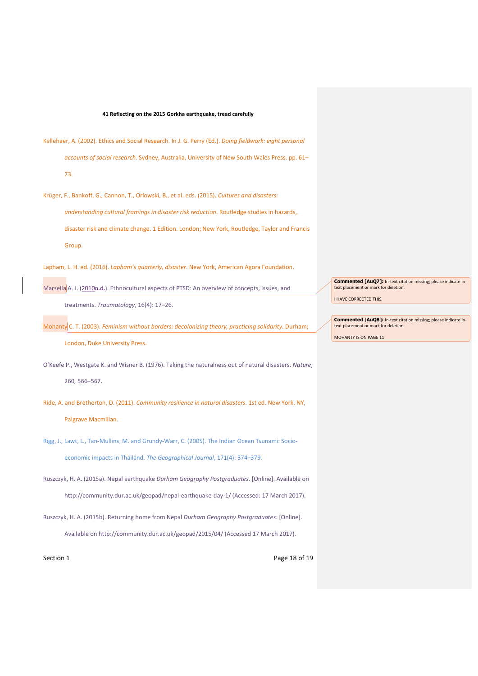- Kellehaer, A. (2002). Ethics and Social Research. In J. G. Perry (Ed.). Doing fieldwork: eight personal accounts of social research. Sydney, Australia, University of New South Wales Press. pp. 61– 73.
- Krüger, F., Bankoff, G., Cannon, T., Orlowski, B., et al. eds. (2015). Cultures and disasters: understanding cultural framings in disaster risk reduction. Routledge studies in hazards, disaster risk and climate change. 1 Edition. London; New York, Routledge, Taylor and Francis Group.

Lapham, L. H. ed. (2016). Lapham's quarterly, disaster. New York, American Agora Foundation.

- Marsella A. J. (2010<del>n.d.</del>). Ethnocultural aspects of PTSD: An overview of concepts, issues, and treatments. Traumatology, 16(4): 17–26.
- Mohanty C. T. (2003). Feminism without borders: decolonizing theory, practicing solidarity. Durham; London, Duke University Press.
- O'Keefe P., Westgate K. and Wisner B. (1976). Taking the naturalness out of natural disasters. Nature, 260, 566–567.
- Ride, A. and Bretherton, D. (2011). Community resilience in natural disasters. 1st ed. New York, NY, Palgrave Macmillan.
- Rigg, J., Lawt, L., Tan-Mullins, M. and Grundy-Warr, C. (2005). The Indian Ocean Tsunami: Socioeconomic impacts in Thailand. The Geographical Journal, 171(4): 374–379.
- Ruszczyk, H. A. (2015a). Nepal earthquake Durham Geography Postgraduates. [Online]. Available on http://community.dur.ac.uk/geopad/nepal-earthquake-day-1/ (Accessed: 17 March 2017).
- Ruszczyk, H. A. (2015b). Returning home from Nepal Durham Geography Postgraduates. [Online]. Available on http://community.dur.ac.uk/geopad/2015/04/ (Accessed 17 March 2017).

Section 1 Page 18 of 19

Commented [AuQ7]: In-text citation missing; please indicate intext placement or mark for deletion.

I HAVE CORRECTED THIS.

Commented [AuQ8]: In-text citation missing; please indicate intext placement or mark for deletion.

MOHANTY IS ON PAGE 11